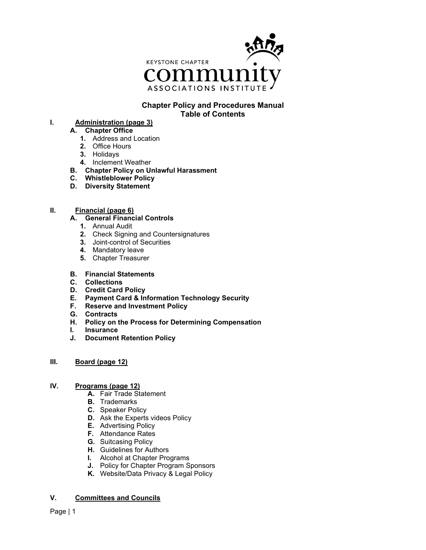

# **Chapter Policy and Procedures Manual Table of Contents**

**I. Administration (page 3)**

## **A. Chapter Office**

- **1.** Address and Location
- **2.** Office Hours
- **3.** Holidays
- **4.** Inclement Weather
- **B. Chapter Policy on Unlawful Harassment**
- **C. Whistleblower Policy**
- **D. Diversity Statement**

# **II. Financial (page 6)**

#### **A. General Financial Controls**

- **1.** Annual Audit
- **2.** Check Signing and Countersignatures
- **3.** Joint-control of Securities
- **4.** Mandatory leave
- **5.** Chapter Treasurer

### **B. Financial Statements**

- **C. Collections**
- **D. Credit Card Policy**
- **E. Payment Card & Information Technology Security**
- **F. Reserve and Investment Policy**
- **G. Contracts**
- **H. Policy on the Process for Determining Compensation**
- **I. Insurance**
- **J. Document Retention Policy**

#### **III. Board (page 12)**

### **IV. Programs (page 12)**

- **A.** Fair Trade Statement
- **B.** Trademarks
- **C.** Speaker Policy
- **D.** Ask the Experts videos Policy
- **E.** Advertising Policy
- **F.** Attendance Rates
- **G.** Suitcasing Policy
- **H.** Guidelines for Authors
- **I.** Alcohol at Chapter Programs
- **J.** Policy for Chapter Program Sponsors
- **K.** Website/Data Privacy & Legal Policy

#### **V. Committees and Councils**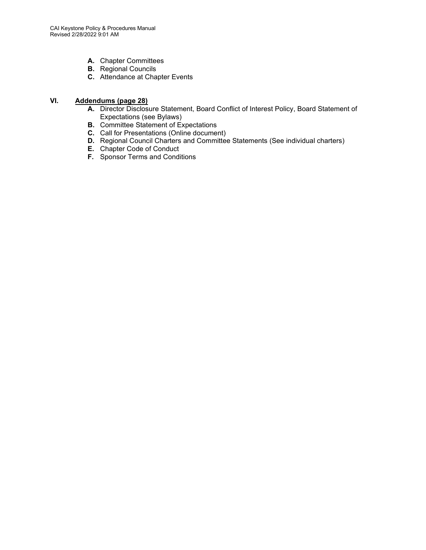- **A.** Chapter Committees
- **B.** Regional Councils
- **C.** Attendance at Chapter Events

# **VI. Addendums (page 28)**

- **A.** Director Disclosure Statement, Board Conflict of Interest Policy, Board Statement of Expectations (see Bylaws)
- **B.** Committee Statement of Expectations
- **C.** Call for Presentations (Online document)
- **D.** Regional Council Charters and Committee Statements (See individual charters)
- **E.** Chapter Code of Conduct
- **F.** Sponsor Terms and Conditions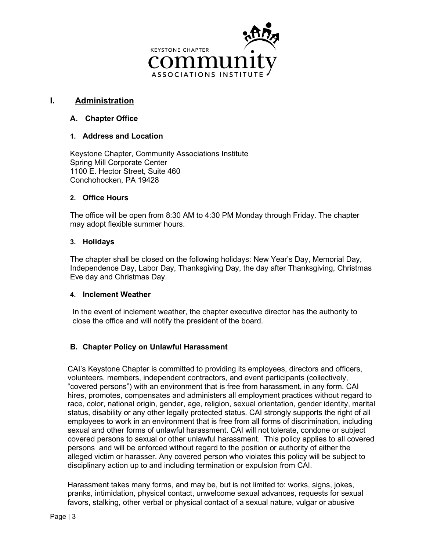

# **I. Administration**

# **A. Chapter Office**

## **1. Address and Location**

Keystone Chapter, Community Associations Institute Spring Mill Corporate Center 1100 E. Hector Street, Suite 460 Conchohocken, PA 19428

## **2. Office Hours**

The office will be open from 8:30 AM to 4:30 PM Monday through Friday. The chapter may adopt flexible summer hours.

## **3. Holidays**

The chapter shall be closed on the following holidays: New Year's Day, Memorial Day, Independence Day, Labor Day, Thanksgiving Day, the day after Thanksgiving, Christmas Eve day and Christmas Day.

## **4. Inclement Weather**

In the event of inclement weather, the chapter executive director has the authority to close the office and will notify the president of the board.

# **B. Chapter Policy on Unlawful Harassment**

CAI's Keystone Chapter is committed to providing its employees, directors and officers, volunteers, members, independent contractors, and event participants (collectively, "covered persons") with an environment that is free from harassment, in any form. CAI hires, promotes, compensates and administers all employment practices without regard to race, color, national origin, gender, age, religion, sexual orientation, gender identity, marital status, disability or any other legally protected status. CAI strongly supports the right of all employees to work in an environment that is free from all forms of discrimination, including sexual and other forms of unlawful harassment. CAI will not tolerate, condone or subject covered persons to sexual or other unlawful harassment. This policy applies to all covered persons and will be enforced without regard to the position or authority of either the alleged victim or harasser. Any covered person who violates this policy will be subject to disciplinary action up to and including termination or expulsion from CAI.

Harassment takes many forms, and may be, but is not limited to: works, signs, jokes, pranks, intimidation, physical contact, unwelcome sexual advances, requests for sexual favors, stalking, other verbal or physical contact of a sexual nature, vulgar or abusive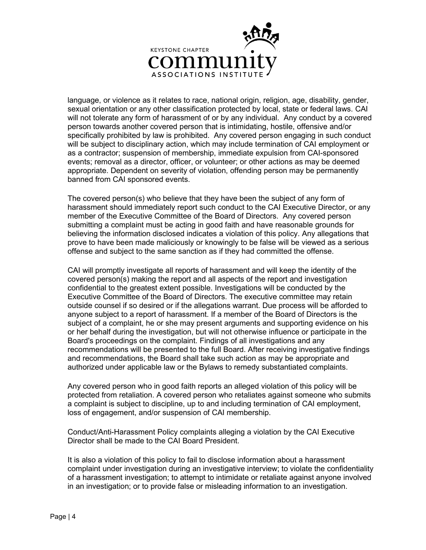

language, or violence as it relates to race, national origin, religion, age, disability, gender, sexual orientation or any other classification protected by local, state or federal laws. CAI will not tolerate any form of harassment of or by any individual. Any conduct by a covered person towards another covered person that is intimidating, hostile, offensive and/or specifically prohibited by law is prohibited. Any covered person engaging in such conduct will be subject to disciplinary action, which may include termination of CAI employment or as a contractor; suspension of membership, immediate expulsion from CAI-sponsored events; removal as a director, officer, or volunteer; or other actions as may be deemed appropriate. Dependent on severity of violation, offending person may be permanently banned from CAI sponsored events.

The covered person(s) who believe that they have been the subject of any form of harassment should immediately report such conduct to the CAI Executive Director, or any member of the Executive Committee of the Board of Directors. Any covered person submitting a complaint must be acting in good faith and have reasonable grounds for believing the information disclosed indicates a violation of this policy. Any allegations that prove to have been made maliciously or knowingly to be false will be viewed as a serious offense and subject to the same sanction as if they had committed the offense.

CAI will promptly investigate all reports of harassment and will keep the identity of the covered person(s) making the report and all aspects of the report and investigation confidential to the greatest extent possible. Investigations will be conducted by the Executive Committee of the Board of Directors. The executive committee may retain outside counsel if so desired or if the allegations warrant. Due process will be afforded to anyone subject to a report of harassment. If a member of the Board of Directors is the subject of a complaint, he or she may present arguments and supporting evidence on his or her behalf during the investigation, but will not otherwise influence or participate in the Board's proceedings on the complaint. Findings of all investigations and any recommendations will be presented to the full Board. After receiving investigative findings and recommendations, the Board shall take such action as may be appropriate and authorized under applicable law or the Bylaws to remedy substantiated complaints.

Any covered person who in good faith reports an alleged violation of this policy will be protected from retaliation. A covered person who retaliates against someone who submits a complaint is subject to discipline, up to and including termination of CAI employment, loss of engagement, and/or suspension of CAI membership.

Conduct/Anti-Harassment Policy complaints alleging a violation by the CAI Executive Director shall be made to the CAI Board President.

It is also a violation of this policy to fail to disclose information about a harassment complaint under investigation during an investigative interview; to violate the confidentiality of a harassment investigation; to attempt to intimidate or retaliate against anyone involved in an investigation; or to provide false or misleading information to an investigation.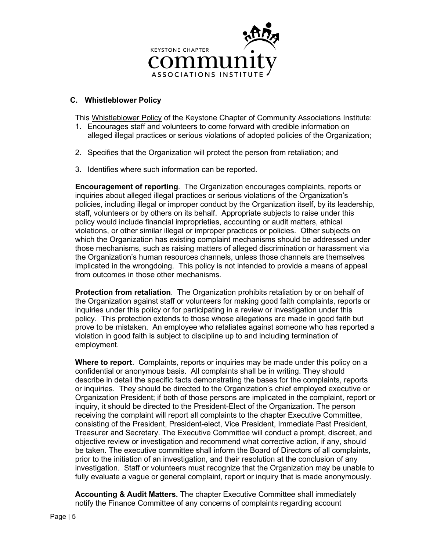

# **C. Whistleblower Policy**

This Whistleblower Policy of the Keystone Chapter of Community Associations Institute:

- 1. Encourages staff and volunteers to come forward with credible information on alleged illegal practices or serious violations of adopted policies of the Organization;
- 2. Specifies that the Organization will protect the person from retaliation; and
- 3. Identifies where such information can be reported.

**Encouragement of reporting**. The Organization encourages complaints, reports or inquiries about alleged illegal practices or serious violations of the Organization's policies, including illegal or improper conduct by the Organization itself, by its leadership, staff, volunteers or by others on its behalf. Appropriate subjects to raise under this policy would include financial improprieties, accounting or audit matters, ethical violations, or other similar illegal or improper practices or policies. Other subjects on which the Organization has existing complaint mechanisms should be addressed under those mechanisms, such as raising matters of alleged discrimination or harassment via the Organization's human resources channels, unless those channels are themselves implicated in the wrongdoing. This policy is not intended to provide a means of appeal from outcomes in those other mechanisms.

**Protection from retaliation**. The Organization prohibits retaliation by or on behalf of the Organization against staff or volunteers for making good faith complaints, reports or inquiries under this policy or for participating in a review or investigation under this policy. This protection extends to those whose allegations are made in good faith but prove to be mistaken. An employee who retaliates against someone who has reported a violation in good faith is subject to discipline up to and including termination of employment.

**Where to report**. Complaints, reports or inquiries may be made under this policy on a confidential or anonymous basis. All complaints shall be in writing. They should describe in detail the specific facts demonstrating the bases for the complaints, reports or inquiries. They should be directed to the Organization's chief employed executive or Organization President; if both of those persons are implicated in the complaint, report or inquiry, it should be directed to the President-Elect of the Organization. The person receiving the complaint will report all complaints to the chapter Executive Committee, consisting of the President, President-elect, Vice President, Immediate Past President, Treasurer and Secretary. The Executive Committee will conduct a prompt, discreet, and objective review or investigation and recommend what corrective action, if any, should be taken. The executive committee shall inform the Board of Directors of all complaints, prior to the initiation of an investigation, and their resolution at the conclusion of any investigation. Staff or volunteers must recognize that the Organization may be unable to fully evaluate a vague or general complaint, report or inquiry that is made anonymously.

**Accounting & Audit Matters.** The chapter Executive Committee shall immediately notify the Finance Committee of any concerns of complaints regarding account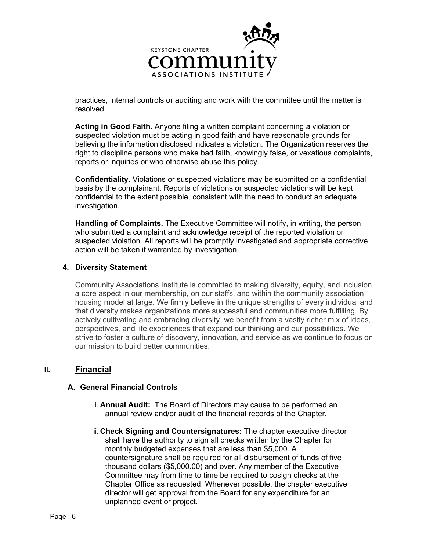

practices, internal controls or auditing and work with the committee until the matter is resolved.

**Acting in Good Faith.** Anyone filing a written complaint concerning a violation or suspected violation must be acting in good faith and have reasonable grounds for believing the information disclosed indicates a violation. The Organization reserves the right to discipline persons who make bad faith, knowingly false, or vexatious complaints, reports or inquiries or who otherwise abuse this policy.

**Confidentiality.** Violations or suspected violations may be submitted on a confidential basis by the complainant. Reports of violations or suspected violations will be kept confidential to the extent possible, consistent with the need to conduct an adequate investigation.

**Handling of Complaints.** The Executive Committee will notify, in writing, the person who submitted a complaint and acknowledge receipt of the reported violation or suspected violation. All reports will be promptly investigated and appropriate corrective action will be taken if warranted by investigation.

# **4. Diversity Statement**

Community Associations Institute is committed to making diversity, equity, and inclusion a core aspect in our membership, on our staffs, and within the community association housing model at large. We firmly believe in the unique strengths of every individual and that diversity makes organizations more successful and communities more fulfilling. By actively cultivating and embracing diversity, we benefit from a vastly richer mix of ideas, perspectives, and life experiences that expand our thinking and our possibilities. We strive to foster a culture of discovery, innovation, and service as we continue to focus on our mission to build better communities.

# **II. Financial**

#### **A. General Financial Controls**

- i. **Annual Audit:** The Board of Directors may cause to be performed an annual review and/or audit of the financial records of the Chapter.
- ii. **Check Signing and Countersignatures:** The chapter executive director shall have the authority to sign all checks written by the Chapter for monthly budgeted expenses that are less than \$5,000. A countersignature shall be required for all disbursement of funds of five thousand dollars (\$5,000.00) and over. Any member of the Executive Committee may from time to time be required to cosign checks at the Chapter Office as requested. Whenever possible, the chapter executive director will get approval from the Board for any expenditure for an unplanned event or project.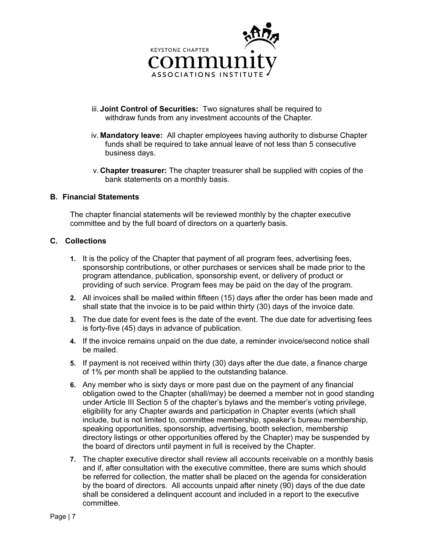

- iii. **Joint Control of Securities:** Two signatures shall be required to withdraw funds from any investment accounts of the Chapter.
- iv. **Mandatory leave:** All chapter employees having authority to disburse Chapter funds shall be required to take annual leave of not less than 5 consecutive business days.
- v. **Chapter treasurer:** The chapter treasurer shall be supplied with copies of the bank statements on a monthly basis.

#### **B. Financial Statements**

The chapter financial statements will be reviewed monthly by the chapter executive committee and by the full board of directors on a quarterly basis.

## **C. Collections**

- **1.** It is the policy of the Chapter that payment of all program fees, advertising fees, sponsorship contributions, or other purchases or services shall be made prior to the program attendance, publication, sponsorship event, or delivery of product or providing of such service. Program fees may be paid on the day of the program.
- **2.** All invoices shall be mailed within fifteen (15) days after the order has been made and shall state that the invoice is to be paid within thirty (30) days of the invoice date.
- **3.** The due date for event fees is the date of the event. The due date for advertising fees is forty-five (45) days in advance of publication.
- **4.** If the invoice remains unpaid on the due date, a reminder invoice/second notice shall be mailed.
- **5.** If payment is not received within thirty (30) days after the due date, a finance charge of 1% per month shall be applied to the outstanding balance.
- **6.** Any member who is sixty days or more past due on the payment of any financial obligation owed to the Chapter (shall/may) be deemed a member not in good standing under Article III Section 5 of the chapter's bylaws and the member's voting privilege, eligibility for any Chapter awards and participation in Chapter events (which shall include, but is not limited to, committee membership, speaker's bureau membership, speaking opportunities, sponsorship, advertising, booth selection, membership directory listings or other opportunities offered by the Chapter) may be suspended by the board of directors until payment in full is received by the Chapter.
- **7.** The chapter executive director shall review all accounts receivable on a monthly basis and if, after consultation with the executive committee, there are sums which should be referred for collection, the matter shall be placed on the agenda for consideration by the board of directors. All accounts unpaid after ninety (90) days of the due date shall be considered a delinquent account and included in a report to the executive committee.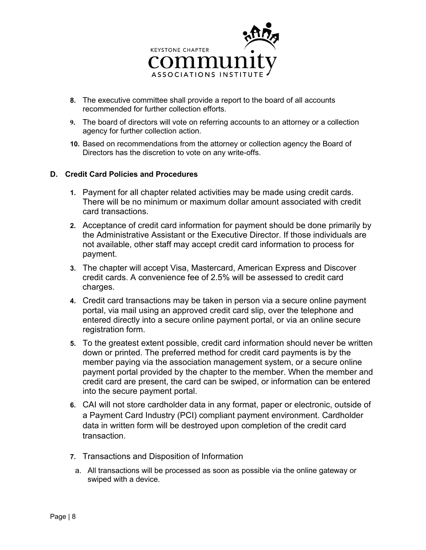

- **8.** The executive committee shall provide a report to the board of all accounts recommended for further collection efforts.
- **9.** The board of directors will vote on referring accounts to an attorney or a collection agency for further collection action.
- **10.** Based on recommendations from the attorney or collection agency the Board of Directors has the discretion to vote on any write-offs.

# **D. Credit Card Policies and Procedures**

- **1.** Payment for all chapter related activities may be made using credit cards. There will be no minimum or maximum dollar amount associated with credit card transactions.
- **2.** Acceptance of credit card information for payment should be done primarily by the Administrative Assistant or the Executive Director. If those individuals are not available, other staff may accept credit card information to process for payment.
- **3.** The chapter will accept Visa, Mastercard, American Express and Discover credit cards. A convenience fee of 2.5% will be assessed to credit card charges.
- **4.** Credit card transactions may be taken in person via a secure online payment portal, via mail using an approved credit card slip, over the telephone and entered directly into a secure online payment portal, or via an online secure registration form.
- **5.** To the greatest extent possible, credit card information should never be written down or printed. The preferred method for credit card payments is by the member paying via the association management system, or a secure online payment portal provided by the chapter to the member. When the member and credit card are present, the card can be swiped, or information can be entered into the secure payment portal.
- **6.** CAI will not store cardholder data in any format, paper or electronic, outside of a Payment Card Industry (PCI) compliant payment environment. Cardholder data in written form will be destroyed upon completion of the credit card transaction.
- **7.** Transactions and Disposition of Information
	- a. All transactions will be processed as soon as possible via the online gateway or swiped with a device.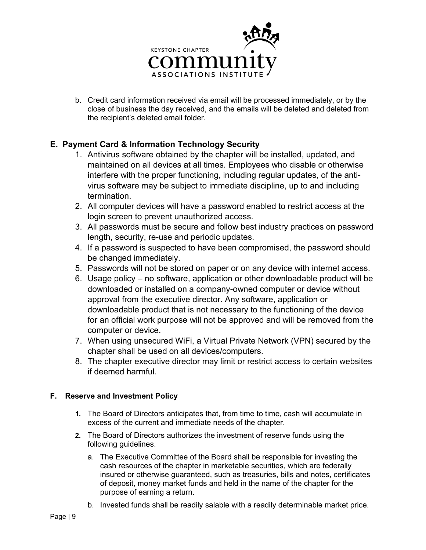

b. Credit card information received via email will be processed immediately, or by the close of business the day received, and the emails will be deleted and deleted from the recipient's deleted email folder.

# **E. Payment Card & Information Technology Security**

- 1. Antivirus software obtained by the chapter will be installed, updated, and maintained on all devices at all times. Employees who disable or otherwise interfere with the proper functioning, including regular updates, of the antivirus software may be subject to immediate discipline, up to and including termination.
- 2. All computer devices will have a password enabled to restrict access at the login screen to prevent unauthorized access.
- 3. All passwords must be secure and follow best industry practices on password length, security, re-use and periodic updates.
- 4. If a password is suspected to have been compromised, the password should be changed immediately.
- 5. Passwords will not be stored on paper or on any device with internet access.
- 6. Usage policy no software, application or other downloadable product will be downloaded or installed on a company-owned computer or device without approval from the executive director. Any software, application or downloadable product that is not necessary to the functioning of the device for an official work purpose will not be approved and will be removed from the computer or device.
- 7. When using unsecured WiFi, a Virtual Private Network (VPN) secured by the chapter shall be used on all devices/computers.
- 8. The chapter executive director may limit or restrict access to certain websites if deemed harmful.

# **F. Reserve and Investment Policy**

- **1.** The Board of Directors anticipates that, from time to time, cash will accumulate in excess of the current and immediate needs of the chapter.
- **2.** The Board of Directors authorizes the investment of reserve funds using the following guidelines.
	- a. The Executive Committee of the Board shall be responsible for investing the cash resources of the chapter in marketable securities, which are federally insured or otherwise guaranteed, such as treasuries, bills and notes, certificates of deposit, money market funds and held in the name of the chapter for the purpose of earning a return.
	- b. Invested funds shall be readily salable with a readily determinable market price.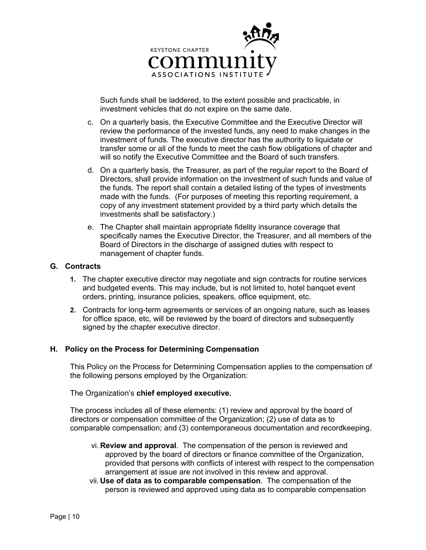

Such funds shall be laddered, to the extent possible and practicable, in investment vehicles that do not expire on the same date.

- c. On a quarterly basis, the Executive Committee and the Executive Director will review the performance of the invested funds, any need to make changes in the investment of funds. The executive director has the authority to liquidate or transfer some or all of the funds to meet the cash flow obligations of chapter and will so notify the Executive Committee and the Board of such transfers.
- d. On a quarterly basis, the Treasurer, as part of the regular report to the Board of Directors, shall provide information on the investment of such funds and value of the funds. The report shall contain a detailed listing of the types of investments made with the funds. (For purposes of meeting this reporting requirement, a copy of any investment statement provided by a third party which details the investments shall be satisfactory.)
- e. The Chapter shall maintain appropriate fidelity insurance coverage that specifically names the Executive Director, the Treasurer, and all members of the Board of Directors in the discharge of assigned duties with respect to management of chapter funds.

#### **G. Contracts**

- **1.** The chapter executive director may negotiate and sign contracts for routine services and budgeted events. This may include, but is not limited to, hotel banquet event orders, printing, insurance policies, speakers, office equipment, etc.
- **2.** Contracts for long-term agreements or services of an ongoing nature, such as leases for office space, etc, will be reviewed by the board of directors and subsequently signed by the chapter executive director.

#### **H. Policy on the Process for Determining Compensation**

This Policy on the Process for Determining Compensation applies to the compensation of the following persons employed by the Organization:

#### The Organization's **chief employed executive.**

The process includes all of these elements: (1) review and approval by the board of directors or compensation committee of the Organization; (2) use of data as to comparable compensation; and (3) contemporaneous documentation and recordkeeping.

- vi. **Review and approval**. The compensation of the person is reviewed and approved by the board of directors or finance committee of the Organization, provided that persons with conflicts of interest with respect to the compensation arrangement at issue are not involved in this review and approval.
- vii. **Use of data as to comparable compensation**. The compensation of the person is reviewed and approved using data as to comparable compensation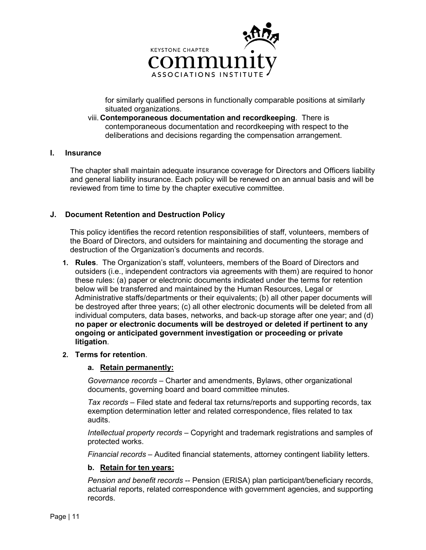

for similarly qualified persons in functionally comparable positions at similarly situated organizations.

viii. **Contemporaneous documentation and recordkeeping**. There is contemporaneous documentation and recordkeeping with respect to the deliberations and decisions regarding the compensation arrangement.

### **I. Insurance**

The chapter shall maintain adequate insurance coverage for Directors and Officers liability and general liability insurance. Each policy will be renewed on an annual basis and will be reviewed from time to time by the chapter executive committee.

## **J. Document Retention and Destruction Policy**

This policy identifies the record retention responsibilities of staff, volunteers, members of the Board of Directors, and outsiders for maintaining and documenting the storage and destruction of the Organization's documents and records.

- **1. Rules**. The Organization's staff, volunteers, members of the Board of Directors and outsiders (i.e., independent contractors via agreements with them) are required to honor these rules: (a) paper or electronic documents indicated under the terms for retention below will be transferred and maintained by the Human Resources, Legal or Administrative staffs/departments or their equivalents; (b) all other paper documents will be destroyed after three years; (c) all other electronic documents will be deleted from all individual computers, data bases, networks, and back-up storage after one year; and (d) **no paper or electronic documents will be destroyed or deleted if pertinent to any ongoing or anticipated government investigation or proceeding or private litigation**.
- **2. Terms for retention**.

#### **a. Retain permanently:**

*Governance records* – Charter and amendments, Bylaws, other organizational documents, governing board and board committee minutes.

*Tax records* – Filed state and federal tax returns/reports and supporting records, tax exemption determination letter and related correspondence, files related to tax audits.

*Intellectual property records* – Copyright and trademark registrations and samples of protected works.

*Financial records* – Audited financial statements, attorney contingent liability letters.

#### **b. Retain for ten years:**

*Pension and benefit records* -- Pension (ERISA) plan participant/beneficiary records, actuarial reports, related correspondence with government agencies, and supporting records.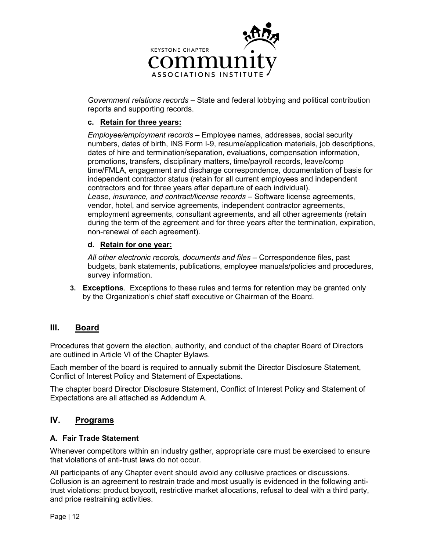

*Government relations records* – State and federal lobbying and political contribution reports and supporting records.

# **c. Retain for three years:**

*Employee/employment records* – Employee names, addresses, social security numbers, dates of birth, INS Form I-9, resume/application materials, job descriptions, dates of hire and termination/separation, evaluations, compensation information, promotions, transfers, disciplinary matters, time/payroll records, leave/comp time/FMLA, engagement and discharge correspondence, documentation of basis for independent contractor status (retain for all current employees and independent contractors and for three years after departure of each individual). *Lease, insurance, and contract/license records* – Software license agreements, vendor, hotel, and service agreements, independent contractor agreements, employment agreements, consultant agreements, and all other agreements (retain during the term of the agreement and for three years after the termination, expiration, non-renewal of each agreement).

# **d. Retain for one year:**

*All other electronic records, documents and files* – Correspondence files, past budgets, bank statements, publications, employee manuals/policies and procedures, survey information.

**3. Exceptions**. Exceptions to these rules and terms for retention may be granted only by the Organization's chief staff executive or Chairman of the Board.

# **III. Board**

Procedures that govern the election, authority, and conduct of the chapter Board of Directors are outlined in Article VI of the Chapter Bylaws.

Each member of the board is required to annually submit the Director Disclosure Statement, Conflict of Interest Policy and Statement of Expectations.

The chapter board Director Disclosure Statement, Conflict of Interest Policy and Statement of Expectations are all attached as Addendum A.

# **IV. Programs**

# **A. Fair Trade Statement**

Whenever competitors within an industry gather, appropriate care must be exercised to ensure that violations of anti-trust laws do not occur.

All participants of any Chapter event should avoid any collusive practices or discussions. Collusion is an agreement to restrain trade and most usually is evidenced in the following antitrust violations: product boycott, restrictive market allocations, refusal to deal with a third party, and price restraining activities.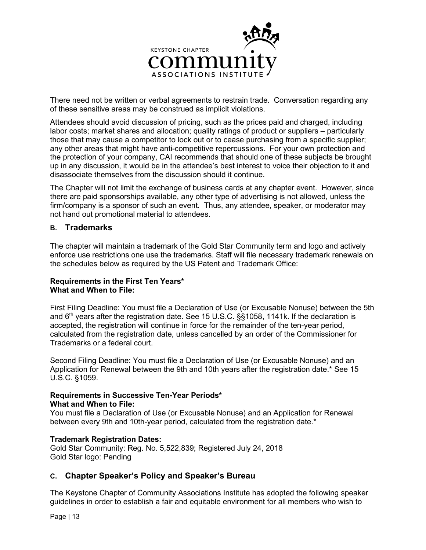

There need not be written or verbal agreements to restrain trade. Conversation regarding any of these sensitive areas may be construed as implicit violations.

Attendees should avoid discussion of pricing, such as the prices paid and charged, including labor costs; market shares and allocation; quality ratings of product or suppliers – particularly those that may cause a competitor to lock out or to cease purchasing from a specific supplier; any other areas that might have anti-competitive repercussions. For your own protection and the protection of your company, CAI recommends that should one of these subjects be brought up in any discussion, it would be in the attendee's best interest to voice their objection to it and disassociate themselves from the discussion should it continue.

The Chapter will not limit the exchange of business cards at any chapter event. However, since there are paid sponsorships available, any other type of advertising is not allowed, unless the firm/company is a sponsor of such an event. Thus, any attendee, speaker, or moderator may not hand out promotional material to attendees.

## **B. Trademarks**

The chapter will maintain a trademark of the Gold Star Community term and logo and actively enforce use restrictions one use the trademarks. Staff will file necessary trademark renewals on the schedules below as required by the US Patent and Trademark Office:

## **Requirements in the First Ten Years\* What and When to File:**

First Filing Deadline: You must file a Declaration of Use (or Excusable Nonuse) between the 5th and  $6<sup>th</sup>$  years after the registration date. See 15 U.S.C. §§1058, 1141k. If the declaration is accepted, the registration will continue in force for the remainder of the ten-year period, calculated from the registration date, unless cancelled by an order of the Commissioner for Trademarks or a federal court.

Second Filing Deadline: You must file a Declaration of Use (or Excusable Nonuse) and an Application for Renewal between the 9th and 10th years after the registration date.\* See 15 U.S.C. §1059.

#### **Requirements in Successive Ten-Year Periods\* What and When to File:**

You must file a Declaration of Use (or Excusable Nonuse) and an Application for Renewal between every 9th and 10th-year period, calculated from the registration date.\*

#### **Trademark Registration Dates:**

Gold Star Community: Reg. No. 5,522,839; Registered July 24, 2018 Gold Star logo: Pending

# **C. Chapter Speaker's Policy and Speaker's Bureau**

The Keystone Chapter of Community Associations Institute has adopted the following speaker guidelines in order to establish a fair and equitable environment for all members who wish to

Page | 13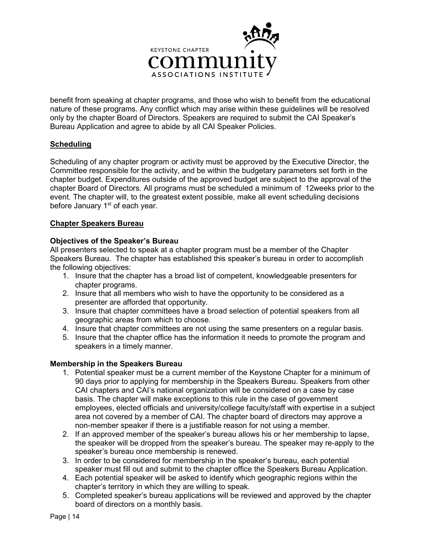

benefit from speaking at chapter programs, and those who wish to benefit from the educational nature of these programs. Any conflict which may arise within these guidelines will be resolved only by the chapter Board of Directors. Speakers are required to submit the CAI Speaker's Bureau Application and agree to abide by all CAI Speaker Policies.

## **Scheduling**

Scheduling of any chapter program or activity must be approved by the Executive Director, the Committee responsible for the activity, and be within the budgetary parameters set forth in the chapter budget. Expenditures outside of the approved budget are subject to the approval of the chapter Board of Directors. All programs must be scheduled a minimum of 12weeks prior to the event. The chapter will, to the greatest extent possible, make all event scheduling decisions before January 1<sup>st</sup> of each year.

## **Chapter Speakers Bureau**

#### **Objectives of the Speaker's Bureau**

All presenters selected to speak at a chapter program must be a member of the Chapter Speakers Bureau. The chapter has established this speaker's bureau in order to accomplish the following objectives:

- 1. Insure that the chapter has a broad list of competent, knowledgeable presenters for chapter programs.
- 2. Insure that all members who wish to have the opportunity to be considered as a presenter are afforded that opportunity.
- 3. Insure that chapter committees have a broad selection of potential speakers from all geographic areas from which to choose.
- 4. Insure that chapter committees are not using the same presenters on a regular basis.
- 5. Insure that the chapter office has the information it needs to promote the program and speakers in a timely manner.

#### **Membership in the Speakers Bureau**

- 1. Potential speaker must be a current member of the Keystone Chapter for a minimum of 90 days prior to applying for membership in the Speakers Bureau. Speakers from other CAI chapters and CAI's national organization will be considered on a case by case basis. The chapter will make exceptions to this rule in the case of government employees, elected officials and university/college faculty/staff with expertise in a subject area not covered by a member of CAI. The chapter board of directors may approve a non-member speaker if there is a justifiable reason for not using a member.
- 2. If an approved member of the speaker's bureau allows his or her membership to lapse, the speaker will be dropped from the speaker's bureau. The speaker may re-apply to the speaker's bureau once membership is renewed.
- 3. In order to be considered for membership in the speaker's bureau, each potential speaker must fill out and submit to the chapter office the Speakers Bureau Application.
- 4. Each potential speaker will be asked to identify which geographic regions within the chapter's territory in which they are willing to speak.
- 5. Completed speaker's bureau applications will be reviewed and approved by the chapter board of directors on a monthly basis.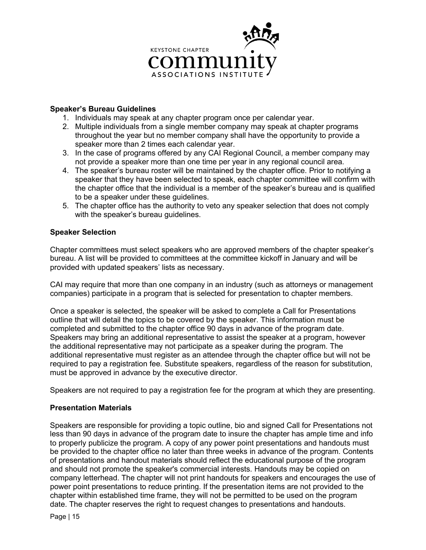

# **Speaker's Bureau Guidelines**

- 1. Individuals may speak at any chapter program once per calendar year.
- 2. Multiple individuals from a single member company may speak at chapter programs throughout the year but no member company shall have the opportunity to provide a speaker more than 2 times each calendar year.
- 3. In the case of programs offered by any CAI Regional Council, a member company may not provide a speaker more than one time per year in any regional council area.
- 4. The speaker's bureau roster will be maintained by the chapter office. Prior to notifying a speaker that they have been selected to speak, each chapter committee will confirm with the chapter office that the individual is a member of the speaker's bureau and is qualified to be a speaker under these guidelines.
- 5. The chapter office has the authority to veto any speaker selection that does not comply with the speaker's bureau guidelines.

## **Speaker Selection**

Chapter committees must select speakers who are approved members of the chapter speaker's bureau. A list will be provided to committees at the committee kickoff in January and will be provided with updated speakers' lists as necessary.

CAI may require that more than one company in an industry (such as attorneys or management companies) participate in a program that is selected for presentation to chapter members.

Once a speaker is selected, the speaker will be asked to complete a Call for Presentations outline that will detail the topics to be covered by the speaker. This information must be completed and submitted to the chapter office 90 days in advance of the program date. Speakers may bring an additional representative to assist the speaker at a program, however the additional representative may not participate as a speaker during the program. The additional representative must register as an attendee through the chapter office but will not be required to pay a registration fee. Substitute speakers, regardless of the reason for substitution, must be approved in advance by the executive director.

Speakers are not required to pay a registration fee for the program at which they are presenting.

#### **Presentation Materials**

Speakers are responsible for providing a topic outline, bio and signed Call for Presentations not less than 90 days in advance of the program date to insure the chapter has ample time and info to properly publicize the program. A copy of any power point presentations and handouts must be provided to the chapter office no later than three weeks in advance of the program. Contents of presentations and handout materials should reflect the educational purpose of the program and should not promote the speaker's commercial interests. Handouts may be copied on company letterhead. The chapter will not print handouts for speakers and encourages the use of power point presentations to reduce printing. If the presentation items are not provided to the chapter within established time frame, they will not be permitted to be used on the program date. The chapter reserves the right to request changes to presentations and handouts.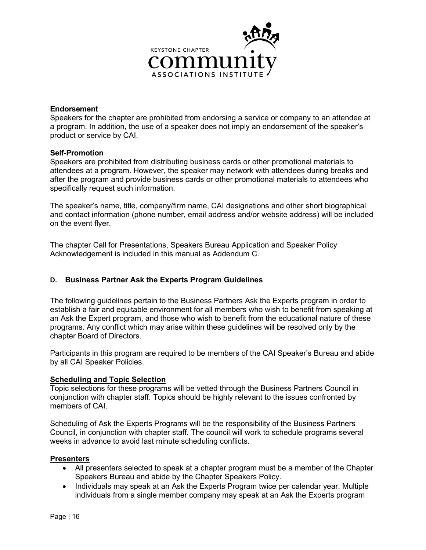

### **Endorsement**

Speakers for the chapter are prohibited from endorsing a service or company to an attendee at a program. In addition, the use of a speaker does not imply an endorsement of the speaker's product or service by CAI.

#### **Self-Promotion**

Speakers are prohibited from distributing business cards or other promotional materials to attendees at a program. However, the speaker may network with attendees during breaks and after the program and provide business cards or other promotional materials to attendees who specifically request such information.

The speaker's name, title, company/firm name, CAI designations and other short biographical and contact information (phone number, email address and/or website address) will be included on the event flyer.

The chapter Call for Presentations, Speakers Bureau Application and Speaker Policy Acknowledgement is included in this manual as Addendum C.

# **D. Business Partner Ask the Experts Program Guidelines**

The following guidelines pertain to the Business Partners Ask the Experts program in order to establish a fair and equitable environment for all members who wish to benefit from speaking at an Ask the Expert program, and those who wish to benefit from the educational nature of these programs. Any conflict which may arise within these guidelines will be resolved only by the chapter Board of Directors.

Participants in this program are required to be members of the CAI Speaker's Bureau and abide by all CAI Speaker Policies.

#### **Scheduling and Topic Selection**

Topic selections for these programs will be vetted through the Business Partners Council in conjunction with chapter staff. Topics should be highly relevant to the issues confronted by members of CAI.

Scheduling of Ask the Experts Programs will be the responsibility of the Business Partners Council, in conjunction with chapter staff. The council will work to schedule programs several weeks in advance to avoid last minute scheduling conflicts.

#### **Presenters**

- All presenters selected to speak at a chapter program must be a member of the Chapter Speakers Bureau and abide by the Chapter Speakers Policy.
- Individuals may speak at an Ask the Experts Program twice per calendar year. Multiple individuals from a single member company may speak at an Ask the Experts program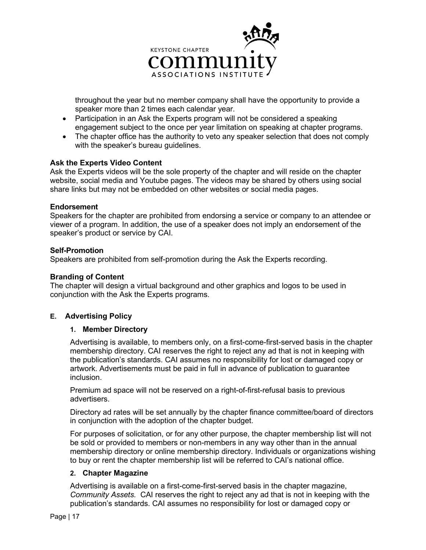

throughout the year but no member company shall have the opportunity to provide a speaker more than 2 times each calendar year.

- Participation in an Ask the Experts program will not be considered a speaking engagement subject to the once per year limitation on speaking at chapter programs.
- The chapter office has the authority to veto any speaker selection that does not comply with the speaker's bureau guidelines.

#### **Ask the Experts Video Content**

Ask the Experts videos will be the sole property of the chapter and will reside on the chapter website, social media and Youtube pages. The videos may be shared by others using social share links but may not be embedded on other websites or social media pages.

#### **Endorsement**

Speakers for the chapter are prohibited from endorsing a service or company to an attendee or viewer of a program. In addition, the use of a speaker does not imply an endorsement of the speaker's product or service by CAI.

#### **Self-Promotion**

Speakers are prohibited from self-promotion during the Ask the Experts recording.

#### **Branding of Content**

The chapter will design a virtual background and other graphics and logos to be used in conjunction with the Ask the Experts programs.

#### **E. Advertising Policy**

#### **1. Member Directory**

Advertising is available, to members only, on a first-come-first-served basis in the chapter membership directory. CAI reserves the right to reject any ad that is not in keeping with the publication's standards. CAI assumes no responsibility for lost or damaged copy or artwork. Advertisements must be paid in full in advance of publication to guarantee inclusion.

Premium ad space will not be reserved on a right-of-first-refusal basis to previous advertisers.

Directory ad rates will be set annually by the chapter finance committee/board of directors in conjunction with the adoption of the chapter budget.

For purposes of solicitation, or for any other purpose, the chapter membership list will not be sold or provided to members or non-members in any way other than in the annual membership directory or online membership directory. Individuals or organizations wishing to buy or rent the chapter membership list will be referred to CAI's national office.

#### **2. Chapter Magazine**

Advertising is available on a first-come-first-served basis in the chapter magazine, *Community Assets.* CAI reserves the right to reject any ad that is not in keeping with the publication's standards. CAI assumes no responsibility for lost or damaged copy or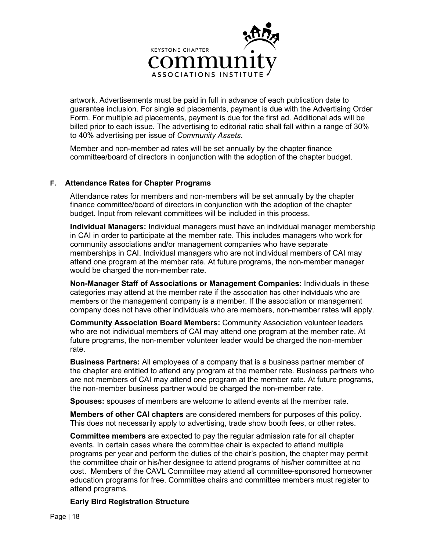

artwork. Advertisements must be paid in full in advance of each publication date to guarantee inclusion. For single ad placements, payment is due with the Advertising Order Form. For multiple ad placements, payment is due for the first ad. Additional ads will be billed prior to each issue. The advertising to editorial ratio shall fall within a range of 30% to 40% advertising per issue of *Community Assets*.

Member and non-member ad rates will be set annually by the chapter finance committee/board of directors in conjunction with the adoption of the chapter budget.

## **F. Attendance Rates for Chapter Programs**

Attendance rates for members and non-members will be set annually by the chapter finance committee/board of directors in conjunction with the adoption of the chapter budget. Input from relevant committees will be included in this process.

**Individual Managers:** Individual managers must have an individual manager membership in CAI in order to participate at the member rate. This includes managers who work for community associations and/or management companies who have separate memberships in CAI. Individual managers who are not individual members of CAI may attend one program at the member rate. At future programs, the non-member manager would be charged the non-member rate.

**Non-Manager Staff of Associations or Management Companies:** Individuals in these categories may attend at the member rate if the association has other individuals who are members or the management company is a member. If the association or management company does not have other individuals who are members, non-member rates will apply.

**Community Association Board Members:** Community Association volunteer leaders who are not individual members of CAI may attend one program at the member rate. At future programs, the non-member volunteer leader would be charged the non-member rate.

**Business Partners:** All employees of a company that is a business partner member of the chapter are entitled to attend any program at the member rate. Business partners who are not members of CAI may attend one program at the member rate. At future programs, the non-member business partner would be charged the non-member rate.

**Spouses:** spouses of members are welcome to attend events at the member rate.

**Members of other CAI chapters** are considered members for purposes of this policy. This does not necessarily apply to advertising, trade show booth fees, or other rates.

**Committee members** are expected to pay the regular admission rate for all chapter events. In certain cases where the committee chair is expected to attend multiple programs per year and perform the duties of the chair's position, the chapter may permit the committee chair or his/her designee to attend programs of his/her committee at no cost. Members of the CAVL Committee may attend all committee-sponsored homeowner education programs for free. Committee chairs and committee members must register to attend programs.

#### **Early Bird Registration Structure**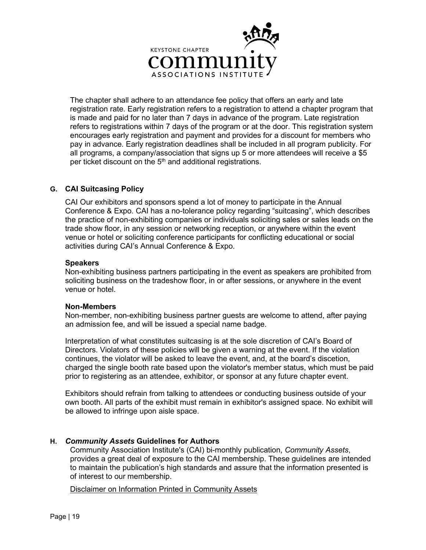

The chapter shall adhere to an attendance fee policy that offers an early and late registration rate. Early registration refers to a registration to attend a chapter program that is made and paid for no later than 7 days in advance of the program. Late registration refers to registrations within 7 days of the program or at the door. This registration system encourages early registration and payment and provides for a discount for members who pay in advance. Early registration deadlines shall be included in all program publicity. For all programs, a company/association that signs up 5 or more attendees will receive a \$5 per ticket discount on the  $5<sup>th</sup>$  and additional registrations.

## **G. CAI Suitcasing Policy**

CAI Our exhibitors and sponsors spend a lot of money to participate in the Annual Conference & Expo. CAI has a no-tolerance policy regarding "suitcasing", which describes the practice of non-exhibiting companies or individuals soliciting sales or sales leads on the trade show floor, in any session or networking reception, or anywhere within the event venue or hotel or soliciting conference participants for conflicting educational or social activities during CAI's Annual Conference & Expo.

#### **Speakers**

Non-exhibiting business partners participating in the event as speakers are prohibited from soliciting business on the tradeshow floor, in or after sessions, or anywhere in the event venue or hotel.

#### **Non-Members**

Non-member, non-exhibiting business partner guests are welcome to attend, after paying an admission fee, and will be issued a special name badge.

Interpretation of what constitutes suitcasing is at the sole discretion of CAI's Board of Directors. Violators of these policies will be given a warning at the event. If the violation continues, the violator will be asked to leave the event, and, at the board's discetion, charged the single booth rate based upon the violator's member status, which must be paid prior to registering as an attendee, exhibitor, or sponsor at any future chapter event.

Exhibitors should refrain from talking to attendees or conducting business outside of your own booth. All parts of the exhibit must remain in exhibitor's assigned space. No exhibit will be allowed to infringe upon aisle space.

# **H.** *Community Assets* **Guidelines for Authors**

Community Association Institute's (CAI) bi-monthly publication, *Community Assets*, provides a great deal of exposure to the CAI membership. These guidelines are intended to maintain the publication's high standards and assure that the information presented is of interest to our membership.

Disclaimer on Information Printed in Community Assets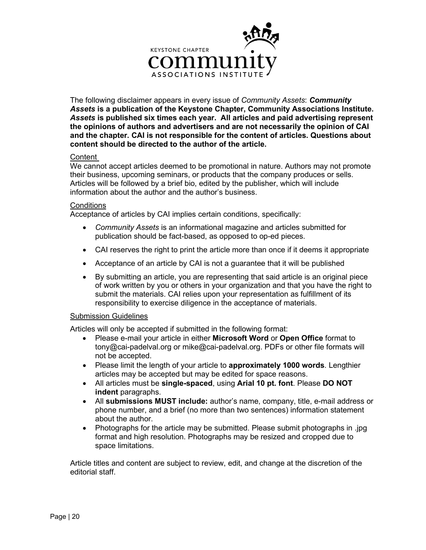

The following disclaimer appears in every issue of *Community Assets*: *Community Assets* **is a publication of the Keystone Chapter, Community Associations Institute.**  *Assets* **is published six times each year. All articles and paid advertising represent the opinions of authors and advertisers and are not necessarily the opinion of CAI and the chapter. CAI is not responsible for the content of articles. Questions about content should be directed to the author of the article.** 

# **Content**

We cannot accept articles deemed to be promotional in nature. Authors may not promote their business, upcoming seminars, or products that the company produces or sells. Articles will be followed by a brief bio, edited by the publisher, which will include information about the author and the author's business.

#### **Conditions**

Acceptance of articles by CAI implies certain conditions, specifically:

- *Community Assets* is an informational magazine and articles submitted for publication should be fact-based, as opposed to op-ed pieces.
- CAI reserves the right to print the article more than once if it deems it appropriate
- Acceptance of an article by CAI is not a guarantee that it will be published
- By submitting an article, you are representing that said article is an original piece of work written by you or others in your organization and that you have the right to submit the materials. CAI relies upon your representation as fulfillment of its responsibility to exercise diligence in the acceptance of materials.

#### Submission Guidelines

Articles will only be accepted if submitted in the following format:

- Please e-mail your article in either **Microsoft Word** or **Open Office** format to tony@cai-padelval.org or mike@cai-padelval.org. PDFs or other file formats will not be accepted.
- Please limit the length of your article to **approximately 1000 words**. Lengthier articles may be accepted but may be edited for space reasons.
- All articles must be **single-spaced**, using **Arial 10 pt. font**. Please **DO NOT indent** paragraphs.
- All **submissions MUST include:** author's name, company, title, e-mail address or phone number, and a brief (no more than two sentences) information statement about the author.
- Photographs for the article may be submitted. Please submit photographs in .jpg format and high resolution. Photographs may be resized and cropped due to space limitations.

Article titles and content are subject to review, edit, and change at the discretion of the editorial staff.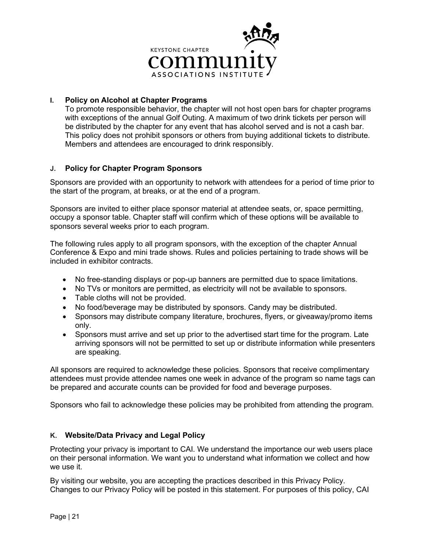

# **I. Policy on Alcohol at Chapter Programs**

To promote responsible behavior, the chapter will not host open bars for chapter programs with exceptions of the annual Golf Outing. A maximum of two drink tickets per person will be distributed by the chapter for any event that has alcohol served and is not a cash bar. This policy does not prohibit sponsors or others from buying additional tickets to distribute. Members and attendees are encouraged to drink responsibly.

## **J. Policy for Chapter Program Sponsors**

Sponsors are provided with an opportunity to network with attendees for a period of time prior to the start of the program, at breaks, or at the end of a program.

Sponsors are invited to either place sponsor material at attendee seats, or, space permitting, occupy a sponsor table. Chapter staff will confirm which of these options will be available to sponsors several weeks prior to each program.

The following rules apply to all program sponsors, with the exception of the chapter Annual Conference & Expo and mini trade shows. Rules and policies pertaining to trade shows will be included in exhibitor contracts.

- No free-standing displays or pop-up banners are permitted due to space limitations.
- No TVs or monitors are permitted, as electricity will not be available to sponsors.
- Table cloths will not be provided.
- No food/beverage may be distributed by sponsors. Candy may be distributed.
- Sponsors may distribute company literature, brochures, flyers, or giveaway/promo items only.
- Sponsors must arrive and set up prior to the advertised start time for the program. Late arriving sponsors will not be permitted to set up or distribute information while presenters are speaking.

All sponsors are required to acknowledge these policies. Sponsors that receive complimentary attendees must provide attendee names one week in advance of the program so name tags can be prepared and accurate counts can be provided for food and beverage purposes.

Sponsors who fail to acknowledge these policies may be prohibited from attending the program.

# **K. Website/Data Privacy and Legal Policy**

Protecting your privacy is important to CAI. We understand the importance our web users place on their personal information. We want you to understand what information we collect and how we use it.

By visiting our website, you are accepting the practices described in this Privacy Policy. Changes to our Privacy Policy will be posted in this statement. For purposes of this policy, CAI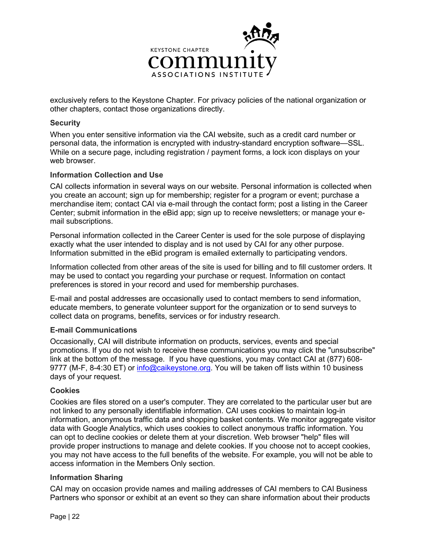

exclusively refers to the Keystone Chapter. For privacy policies of the national organization or other chapters, contact those organizations directly.

### **Security**

When you enter sensitive information via the CAI website, such as a credit card number or personal data, the information is encrypted with industry-standard encryption software—SSL. While on a secure page, including registration / payment forms, a lock icon displays on your web browser.

## **Information Collection and Use**

CAI collects information in several ways on our website. Personal information is collected when you create an account; sign up for membership; register for a program or event; purchase a merchandise item; contact CAI via e-mail through the contact form; post a listing in the Career Center; submit information in the eBid app; sign up to receive newsletters; or manage your email subscriptions.

Personal information collected in the Career Center is used for the sole purpose of displaying exactly what the user intended to display and is not used by CAI for any other purpose. Information submitted in the eBid program is emailed externally to participating vendors.

Information collected from other areas of the site is used for billing and to fill customer orders. It may be used to contact you regarding your purchase or request. Information on contact preferences is stored in your record and used for membership purchases.

E-mail and postal addresses are occasionally used to contact members to send information, educate members, to generate volunteer support for the organization or to send surveys to collect data on programs, benefits, services or for industry research.

#### **E-mail Communications**

Occasionally, CAI will distribute information on products, services, events and special promotions. If you do not wish to receive these communications you may click the "unsubscribe" link at the bottom of the message. If you have questions, you may contact CAI at (877) 608 9777 (M-F, 8-4:30 ET) or [info@caikeystone.org.](mailto:info@caikeystone.org) You will be taken off lists within 10 business days of your request.

#### **Cookies**

Cookies are files stored on a user's computer. They are correlated to the particular user but are not linked to any personally identifiable information. CAI uses cookies to maintain log-in information, anonymous traffic data and shopping basket contents. We monitor aggregate visitor data with Google Analytics, which uses cookies to collect anonymous traffic information. You can opt to decline cookies or delete them at your discretion. Web browser "help" files will provide proper instructions to manage and delete cookies. If you choose not to accept cookies, you may not have access to the full benefits of the website. For example, you will not be able to access information in the Members Only section.

# **Information Sharing**

CAI may on occasion provide names and mailing addresses of CAI members to CAI Business Partners who sponsor or exhibit at an event so they can share information about their products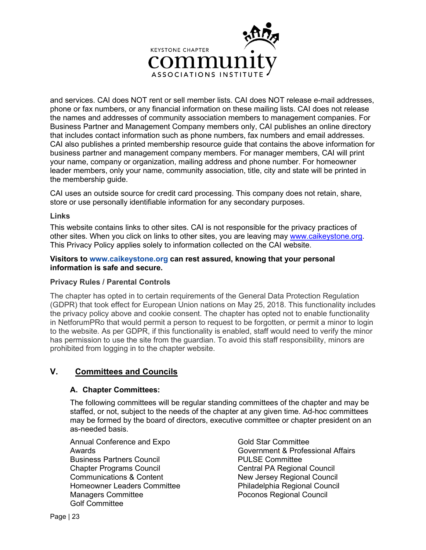

and services. CAI does NOT rent or sell member lists. CAI does NOT release e-mail addresses, phone or fax numbers, or any financial information on these mailing lists. CAI does not release the names and addresses of community association members to management companies. For Business Partner and Management Company members only, CAI publishes an online directory that includes contact information such as phone numbers, fax numbers and email addresses. CAI also publishes a printed membership resource guide that contains the above information for business partner and management company members. For manager members, CAI will print your name, company or organization, mailing address and phone number. For homeowner leader members, only your name, community association, title, city and state will be printed in the membership guide.

CAI uses an outside source for credit card processing. This company does not retain, share, store or use personally identifiable information for any secondary purposes.

#### **Links**

This website contains links to other sites. CAI is not responsible for the privacy practices of other sites. When you click on links to other sites, you are leaving may [www.caikeystone.org.](http://www.caikeystone.org/) This Privacy Policy applies solely to information collected on the CAI website.

## **Visitors to www.caikeystone.org can rest assured, knowing that your personal information is safe and secure.**

#### **Privacy Rules / Parental Controls**

The chapter has opted in to certain requirements of the General Data Protection Regulation (GDPR) that took effect for European Union nations on May 25, 2018. This functionality includes the privacy policy above and cookie consent. The chapter has opted not to enable functionality in NetforumPRo that would permit a person to request to be forgotten, or permit a minor to login to the website. As per GDPR, if this functionality is enabled, staff would need to verify the minor has permission to use the site from the guardian. To avoid this staff responsibility, minors are prohibited from logging in to the chapter website.

# **V. Committees and Councils**

# **A. Chapter Committees:**

The following committees will be regular standing committees of the chapter and may be staffed, or not, subject to the needs of the chapter at any given time. Ad-hoc committees may be formed by the board of directors, executive committee or chapter president on an as-needed basis.

Annual Conference and Expo Awards Business Partners Council Chapter Programs Council Communications & Content Homeowner Leaders Committee Managers Committee Golf Committee

Gold Star Committee Government & Professional Affairs PULSE Committee Central PA Regional Council New Jersey Regional Council Philadelphia Regional Council Poconos Regional Council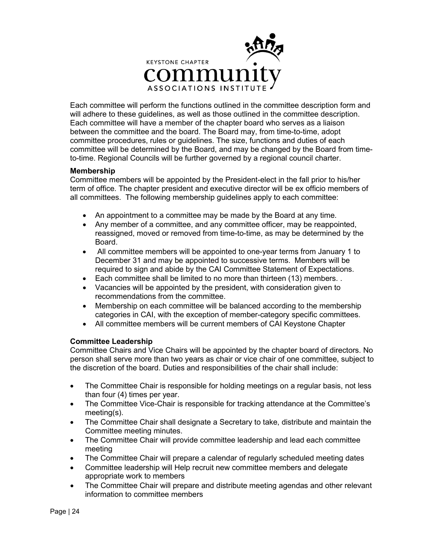

Each committee will perform the functions outlined in the committee description form and will adhere to these guidelines, as well as those outlined in the committee description. Each committee will have a member of the chapter board who serves as a liaison between the committee and the board. The Board may, from time-to-time, adopt committee procedures, rules or guidelines. The size, functions and duties of each committee will be determined by the Board, and may be changed by the Board from timeto-time. Regional Councils will be further governed by a regional council charter.

## **Membership**

Committee members will be appointed by the President-elect in the fall prior to his/her term of office. The chapter president and executive director will be ex officio members of all committees. The following membership guidelines apply to each committee:

- An appointment to a committee may be made by the Board at any time.
- Any member of a committee, and any committee officer, may be reappointed, reassigned, moved or removed from time-to-time, as may be determined by the Board.
- All committee members will be appointed to one-year terms from January 1 to December 31 and may be appointed to successive terms. Members will be required to sign and abide by the CAI Committee Statement of Expectations.
- Each committee shall be limited to no more than thirteen (13) members. .
- Vacancies will be appointed by the president, with consideration given to recommendations from the committee.
- Membership on each committee will be balanced according to the membership categories in CAI, with the exception of member-category specific committees.
- All committee members will be current members of CAI Keystone Chapter

#### **Committee Leadership**

Committee Chairs and Vice Chairs will be appointed by the chapter board of directors. No person shall serve more than two years as chair or vice chair of one committee, subject to the discretion of the board. Duties and responsibilities of the chair shall include:

- The Committee Chair is responsible for holding meetings on a regular basis, not less than four (4) times per year.
- The Committee Vice-Chair is responsible for tracking attendance at the Committee's meeting(s).
- The Committee Chair shall designate a Secretary to take, distribute and maintain the Committee meeting minutes.
- The Committee Chair will provide committee leadership and lead each committee meeting
- The Committee Chair will prepare a calendar of regularly scheduled meeting dates
- Committee leadership will Help recruit new committee members and delegate appropriate work to members
- The Committee Chair will prepare and distribute meeting agendas and other relevant information to committee members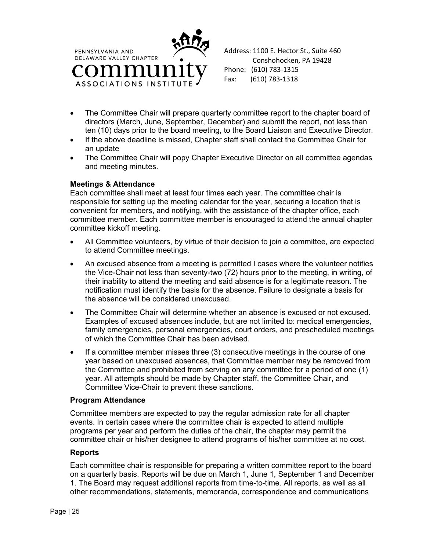



- The Committee Chair will prepare quarterly committee report to the chapter board of directors (March, June, September, December) and submit the report, not less than ten (10) days prior to the board meeting, to the Board Liaison and Executive Director.
- If the above deadline is missed, Chapter staff shall contact the Committee Chair for an update
- The Committee Chair will popy Chapter Executive Director on all committee agendas and meeting minutes.

## **Meetings & Attendance**

Each committee shall meet at least four times each year. The committee chair is responsible for setting up the meeting calendar for the year, securing a location that is convenient for members, and notifying, with the assistance of the chapter office, each committee member. Each committee member is encouraged to attend the annual chapter committee kickoff meeting.

- All Committee volunteers, by virtue of their decision to join a committee, are expected to attend Committee meetings.
- An excused absence from a meeting is permitted I cases where the volunteer notifies the Vice-Chair not less than seventy-two (72) hours prior to the meeting, in writing, of their inability to attend the meeting and said absence is for a legitimate reason. The notification must identify the basis for the absence. Failure to designate a basis for the absence will be considered unexcused.
- The Committee Chair will determine whether an absence is excused or not excused. Examples of excused absences include, but are not limited to: medical emergencies, family emergencies, personal emergencies, court orders, and prescheduled meetings of which the Committee Chair has been advised.
- If a committee member misses three (3) consecutive meetings in the course of one year based on unexcused absences, that Committee member may be removed from the Committee and prohibited from serving on any committee for a period of one (1) year. All attempts should be made by Chapter staff, the Committee Chair, and Committee Vice-Chair to prevent these sanctions.

#### **Program Attendance**

Committee members are expected to pay the regular admission rate for all chapter events. In certain cases where the committee chair is expected to attend multiple programs per year and perform the duties of the chair, the chapter may permit the committee chair or his/her designee to attend programs of his/her committee at no cost.

# **Reports**

Each committee chair is responsible for preparing a written committee report to the board on a quarterly basis. Reports will be due on March 1, June 1, September 1 and December 1. The Board may request additional reports from time-to-time. All reports, as well as all other recommendations, statements, memoranda, correspondence and communications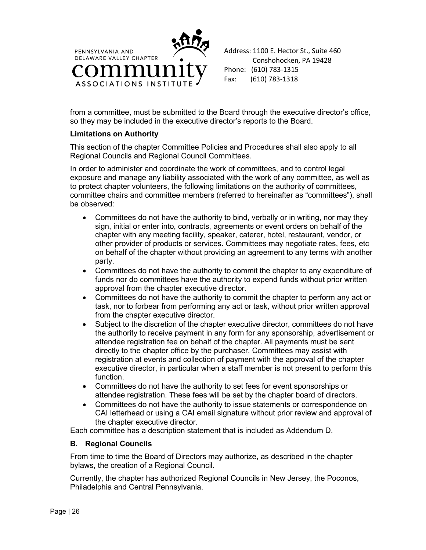

from a committee, must be submitted to the Board through the executive director's office, so they may be included in the executive director's reports to the Board.

## **Limitations on Authority**

This section of the chapter Committee Policies and Procedures shall also apply to all Regional Councils and Regional Council Committees.

In order to administer and coordinate the work of committees, and to control legal exposure and manage any liability associated with the work of any committee, as well as to protect chapter volunteers, the following limitations on the authority of committees, committee chairs and committee members (referred to hereinafter as "committees"), shall be observed:

- Committees do not have the authority to bind, verbally or in writing, nor may they sign, initial or enter into, contracts, agreements or event orders on behalf of the chapter with any meeting facility, speaker, caterer, hotel, restaurant, vendor, or other provider of products or services. Committees may negotiate rates, fees, etc on behalf of the chapter without providing an agreement to any terms with another party.
- Committees do not have the authority to commit the chapter to any expenditure of funds nor do committees have the authority to expend funds without prior written approval from the chapter executive director.
- Committees do not have the authority to commit the chapter to perform any act or task, nor to forbear from performing any act or task, without prior written approval from the chapter executive director.
- Subject to the discretion of the chapter executive director, committees do not have the authority to receive payment in any form for any sponsorship, advertisement or attendee registration fee on behalf of the chapter. All payments must be sent directly to the chapter office by the purchaser. Committees may assist with registration at events and collection of payment with the approval of the chapter executive director, in particular when a staff member is not present to perform this function.
- Committees do not have the authority to set fees for event sponsorships or attendee registration. These fees will be set by the chapter board of directors.
- Committees do not have the authority to issue statements or correspondence on CAI letterhead or using a CAI email signature without prior review and approval of the chapter executive director.

Each committee has a description statement that is included as Addendum D.

# **B. Regional Councils**

From time to time the Board of Directors may authorize, as described in the chapter bylaws, the creation of a Regional Council.

Currently, the chapter has authorized Regional Councils in New Jersey, the Poconos, Philadelphia and Central Pennsylvania.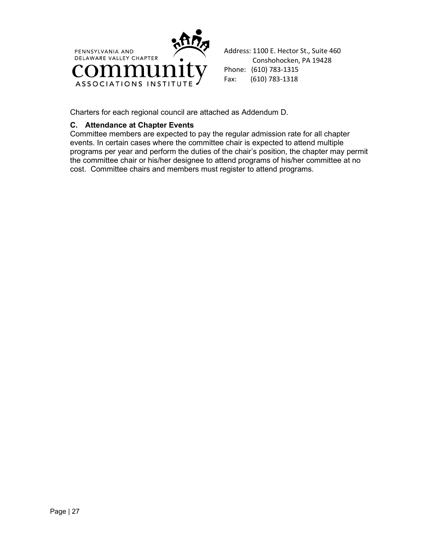

Address: 1100 E. Hector St., Suite 460 Conshohocken, PA 19428 Phone: (610) 783-1315 Fax: (610) 783-1318

Charters for each regional council are attached as Addendum D.

# **C. Attendance at Chapter Events**

Committee members are expected to pay the regular admission rate for all chapter events. In certain cases where the committee chair is expected to attend multiple programs per year and perform the duties of the chair's position, the chapter may permit the committee chair or his/her designee to attend programs of his/her committee at no cost. Committee chairs and members must register to attend programs.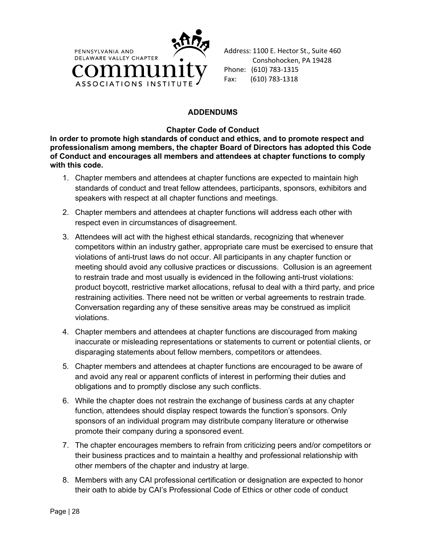

Address: 1100 E. Hector St., Suite 460 Conshohocken, PA 19428 Phone: (610) 783-1315 Fax: (610) 783-1318

# **ADDENDUMS**

**Chapter Code of Conduct**

**In order to promote high standards of conduct and ethics, and to promote respect and professionalism among members, the chapter Board of Directors has adopted this Code of Conduct and encourages all members and attendees at chapter functions to comply with this code.** 

- 1. Chapter members and attendees at chapter functions are expected to maintain high standards of conduct and treat fellow attendees, participants, sponsors, exhibitors and speakers with respect at all chapter functions and meetings.
- 2. Chapter members and attendees at chapter functions will address each other with respect even in circumstances of disagreement.
- 3. Attendees will act with the highest ethical standards, recognizing that whenever competitors within an industry gather, appropriate care must be exercised to ensure that violations of anti-trust laws do not occur. All participants in any chapter function or meeting should avoid any collusive practices or discussions. Collusion is an agreement to restrain trade and most usually is evidenced in the following anti-trust violations: product boycott, restrictive market allocations, refusal to deal with a third party, and price restraining activities. There need not be written or verbal agreements to restrain trade. Conversation regarding any of these sensitive areas may be construed as implicit violations.
- 4. Chapter members and attendees at chapter functions are discouraged from making inaccurate or misleading representations or statements to current or potential clients, or disparaging statements about fellow members, competitors or attendees.
- 5. Chapter members and attendees at chapter functions are encouraged to be aware of and avoid any real or apparent conflicts of interest in performing their duties and obligations and to promptly disclose any such conflicts.
- 6. While the chapter does not restrain the exchange of business cards at any chapter function, attendees should display respect towards the function's sponsors. Only sponsors of an individual program may distribute company literature or otherwise promote their company during a sponsored event.
- 7. The chapter encourages members to refrain from criticizing peers and/or competitors or their business practices and to maintain a healthy and professional relationship with other members of the chapter and industry at large.
- 8. Members with any CAI professional certification or designation are expected to honor their oath to abide by CAI's Professional Code of Ethics or other code of conduct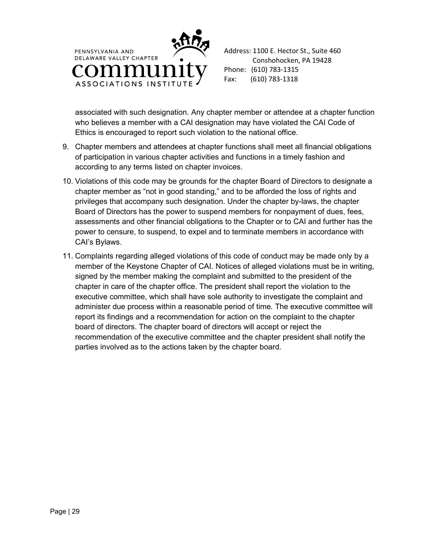



associated with such designation. Any chapter member or attendee at a chapter function who believes a member with a CAI designation may have violated the CAI Code of Ethics is encouraged to report such violation to the national office.

- 9. Chapter members and attendees at chapter functions shall meet all financial obligations of participation in various chapter activities and functions in a timely fashion and according to any terms listed on chapter invoices.
- 10. Violations of this code may be grounds for the chapter Board of Directors to designate a chapter member as "not in good standing," and to be afforded the loss of rights and privileges that accompany such designation. Under the chapter by-laws, the chapter Board of Directors has the power to suspend members for nonpayment of dues, fees, assessments and other financial obligations to the Chapter or to CAI and further has the power to censure, to suspend, to expel and to terminate members in accordance with CAI's Bylaws.
- 11. Complaints regarding alleged violations of this code of conduct may be made only by a member of the Keystone Chapter of CAI. Notices of alleged violations must be in writing, signed by the member making the complaint and submitted to the president of the chapter in care of the chapter office. The president shall report the violation to the executive committee, which shall have sole authority to investigate the complaint and administer due process within a reasonable period of time. The executive committee will report its findings and a recommendation for action on the complaint to the chapter board of directors. The chapter board of directors will accept or reject the recommendation of the executive committee and the chapter president shall notify the parties involved as to the actions taken by the chapter board.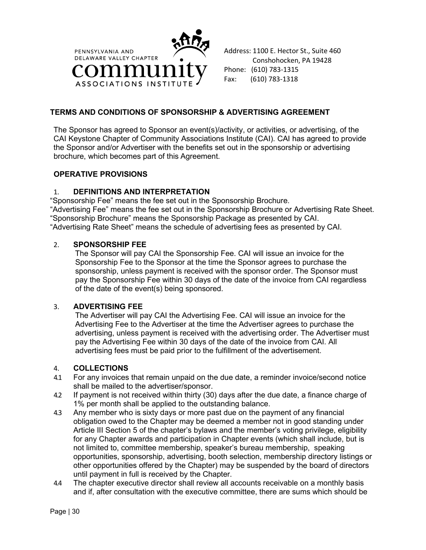

Address: 1100 E. Hector St., Suite 460 Conshohocken, PA 19428 Phone: (610) 783-1315 Fax: (610) 783-1318

# **TERMS AND CONDITIONS OF SPONSORSHIP & ADVERTISING AGREEMENT**

The Sponsor has agreed to Sponsor an event(s)/activity, or activities, or advertising, of the CAI Keystone Chapter of Community Associations Institute (CAI). CAI has agreed to provide the Sponsor and/or Advertiser with the benefits set out in the sponsorship or advertising brochure, which becomes part of this Agreement.

## **OPERATIVE PROVISIONS**

## 1. **DEFINITIONS AND INTERPRETATION**

"Sponsorship Fee" means the fee set out in the Sponsorship Brochure. "Advertising Fee" means the fee set out in the Sponsorship Brochure or Advertising Rate Sheet. "Sponsorship Brochure" means the Sponsorship Package as presented by CAI. "Advertising Rate Sheet" means the schedule of advertising fees as presented by CAI.

## 2. **SPONSORSHIP FEE**

The Sponsor will pay CAI the Sponsorship Fee. CAI will issue an invoice for the Sponsorship Fee to the Sponsor at the time the Sponsor agrees to purchase the sponsorship, unless payment is received with the sponsor order. The Sponsor must pay the Sponsorship Fee within 30 days of the date of the invoice from CAI regardless of the date of the event(s) being sponsored.

#### 3. **ADVERTISING FEE**

The Advertiser will pay CAI the Advertising Fee. CAI will issue an invoice for the Advertising Fee to the Advertiser at the time the Advertiser agrees to purchase the advertising, unless payment is received with the advertising order. The Advertiser must pay the Advertising Fee within 30 days of the date of the invoice from CAI. All advertising fees must be paid prior to the fulfillment of the advertisement.

### 4. **COLLECTIONS**

- 4.1 For any invoices that remain unpaid on the due date, a reminder invoice/second notice shall be mailed to the advertiser/sponsor.
- 4.2 If payment is not received within thirty (30) days after the due date, a finance charge of 1% per month shall be applied to the outstanding balance.
- 4.3 Any member who is sixty days or more past due on the payment of any financial obligation owed to the Chapter may be deemed a member not in good standing under Article III Section 5 of the chapter's bylaws and the member's voting privilege, eligibility for any Chapter awards and participation in Chapter events (which shall include, but is not limited to, committee membership, speaker's bureau membership, speaking opportunities, sponsorship, advertising, booth selection, membership directory listings or other opportunities offered by the Chapter) may be suspended by the board of directors until payment in full is received by the Chapter.
- 4.4 The chapter executive director shall review all accounts receivable on a monthly basis and if, after consultation with the executive committee, there are sums which should be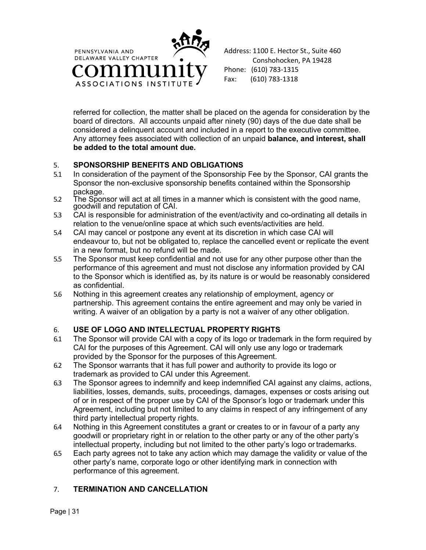

Address: 1100 E. Hector St., Suite 460 Conshohocken, PA 19428 Phone: (610) 783-1315 Fax: (610) 783-1318

referred for collection, the matter shall be placed on the agenda for consideration by the board of directors. All accounts unpaid after ninety (90) days of the due date shall be considered a delinquent account and included in a report to the executive committee. Any attorney fees associated with collection of an unpaid **balance, and interest, shall be added to the total amount due.** 

# 5. **SPONSORSHIP BENEFITS AND OBLIGATIONS**

- 5.1 In consideration of the payment of the Sponsorship Fee by the Sponsor, CAI grants the Sponsor the non-exclusive sponsorship benefits contained within the Sponsorship package.
- 5.2 The Sponsor will act at all times in a manner which is consistent with the good name, goodwill and reputation of CAI.
- 5.3 CAI is responsible for administration of the event/activity and co-ordinating all details in relation to the venue/online space at which such events/activities are held.
- 5.4 CAI may cancel or postpone any event at its discretion in which case CAI will endeavour to, but not be obligated to, replace the cancelled event or replicate the event in a new format, but no refund will be made.
- 5.5 The Sponsor must keep confidential and not use for any other purpose other than the performance of this agreement and must not disclose any information provided by CAI to the Sponsor which is identified as, by its nature is or would be reasonably considered as confidential.
- 5.6 Nothing in this agreement creates any relationship of employment, agency or partnership. This agreement contains the entire agreement and may only be varied in writing. A waiver of an obligation by a party is not a waiver of any other obligation.

# 6. **USE OF LOGO AND INTELLECTUAL PROPERTY RIGHTS**

- 6.1 The Sponsor will provide CAI with a copy of its logo or trademark in the form required by CAI for the purposes of this Agreement. CAI will only use any logo or trademark provided by the Sponsor for the purposes of this Agreement.
- 6.2 The Sponsor warrants that it has full power and authority to provide its logo or trademark as provided to CAI under this Agreement.
- 6.3 The Sponsor agrees to indemnify and keep indemnified CAI against any claims, actions, liabilities, losses, demands, suits, proceedings, damages, expenses or costs arising out of or in respect of the proper use by CAI of the Sponsor's logo or trademark under this Agreement, including but not limited to any claims in respect of any infringement of any third party intellectual property rights.
- 6.4 Nothing in this Agreement constitutes a grant or creates to or in favour of a party any goodwill or proprietary right in or relation to the other party or any of the other party's intellectual property, including but not limited to the other party's logo ortrademarks.
- 6.5 Each party agrees not to take any action which may damage the validity or value of the other party's name, corporate logo or other identifying mark in connection with performance of this agreement.

# 7. **TERMINATION AND CANCELLATION**